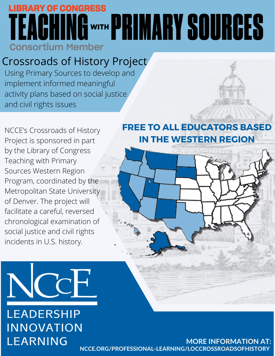## **LIBRARY OF CONGRESS OWER PRIMARY SOURCES Consortium Member**

### Crossroads of History Project

Using Primary Sources to develop and implement informed meaningful activity plans based on social justice and civil rights issues



NCCE's Crossroads of History Project is sponsored in part by the Library of Congress Teaching with Primary Sources Western Region Program, coordinated by the Metropolitan State University of Denver. The project will facilitate a careful, reversed chronological examination of social justice and civil rights incidents in U.S. history.

#### **FREE TO ALL EDUCATORS BASED IN THE WESTERN REGION**





### **LEADERSHIP INNOVATION LEARNING**

MORE INFORMATION AT: [NCCE.ORG/PROFESSIONAL-LEARNING/LOCCROSSROADSOFHISTORY](https://ncce.org/professional-learning/loccrossroadsofhistory/)